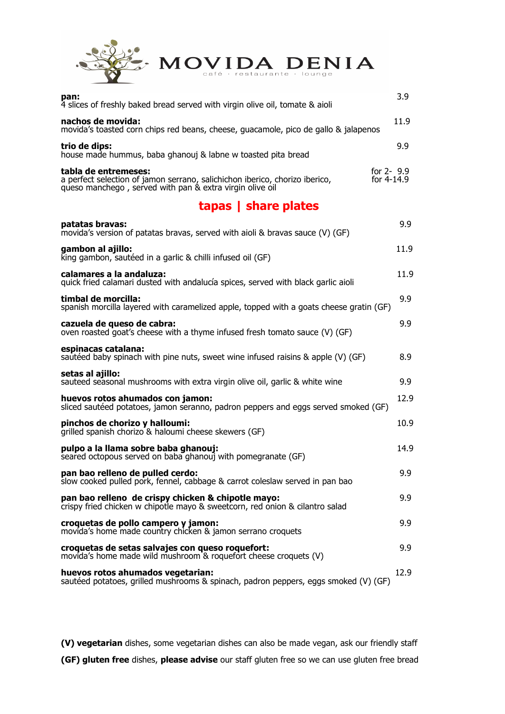

| pan:<br>4 slices of freshly baked bread served with virgin olive oil, tomate & aioli                                                                            | 3.9                         |
|-----------------------------------------------------------------------------------------------------------------------------------------------------------------|-----------------------------|
| nachos de movida:<br>movida's toasted corn chips red beans, cheese, guacamole, pico de gallo & jalapenos                                                        | 11.9                        |
| trio de dips:<br>house made hummus, baba ghanouj & labne w toasted pita bread                                                                                   | 9.9                         |
| tabla de entremeses:<br>a perfect selection of jamon serrano, salichichon iberico, chorizo iberico,<br>queso manchego, served with pan & extra virgin olive oil | for $2 - 9.9$<br>for 4-14.9 |

## **tapas | share plates**

| patatas bravas:<br>movida's version of patatas bravas, served with aioli & bravas sauce (V) (GF)                                   | 9.9  |
|------------------------------------------------------------------------------------------------------------------------------------|------|
| gambon al ajillo:<br>king gambon, sautéed in a garlic & chilli infused oil (GF)                                                    | 11.9 |
| calamares a la andaluza:<br>quick fried calamari dusted with andalucía spices, served with black garlic aioli                      | 11.9 |
| timbal de morcilla:<br>spanish morcilla layered with caramelized apple, topped with a goats cheese gratin (GF)                     | 9.9  |
| cazuela de queso de cabra:<br>oven roasted goat's cheese with a thyme infused fresh tomato sauce (V) (GF)                          | 9.9  |
| espinacas catalana:<br>sautéed baby spinach with pine nuts, sweet wine infused raisins & apple (V) (GF)                            | 8.9  |
| setas al ajillo:<br>sauteed seasonal mushrooms with extra virgin olive oil, garlic & white wine                                    | 9.9  |
| huevos rotos ahumados con jamon:<br>sliced sautéed potatoes, jamon seranno, padron peppers and eggs served smoked (GF)             | 12.9 |
| pinchos de chorizo y halloumi:<br>grilled spanish chorizo & haloumi cheese skewers (GF)                                            | 10.9 |
| pulpo a la llama sobre baba ghanouj:<br>seared octopous served on baba ghanouj with pomegranate (GF)                               | 14.9 |
| pan bao relleno de pulled cerdo:<br>slow cooked pulled pork, fennel, cabbage & carrot coleslaw served in pan bao                   | 9.9  |
| pan bao relleno de crispy chicken & chipotle mayo:<br>crispy fried chicken w chipotle mayo & sweetcorn, red onion & cilantro salad | 9.9  |
| croquetas de pollo campero y jamon:<br>movida's home made country chicken & jamon serrano croquets                                 | 9.9  |
| croquetas de setas salvajes con queso roquefort:<br>movida's home made wild mushroom & roquefort cheese croquets (V)               | 9.9  |
| huevos rotos ahumados vegetarian:<br>sautéed potatoes, grilled mushrooms & spinach, padron peppers, eggs smoked (V) (GF)           | 12.9 |

**(V) vegetarian** dishes, some vegetarian dishes can also be made vegan, ask our friendly staff **(GF) gluten free** dishes, **please advise** our staff gluten free so we can use gluten free bread